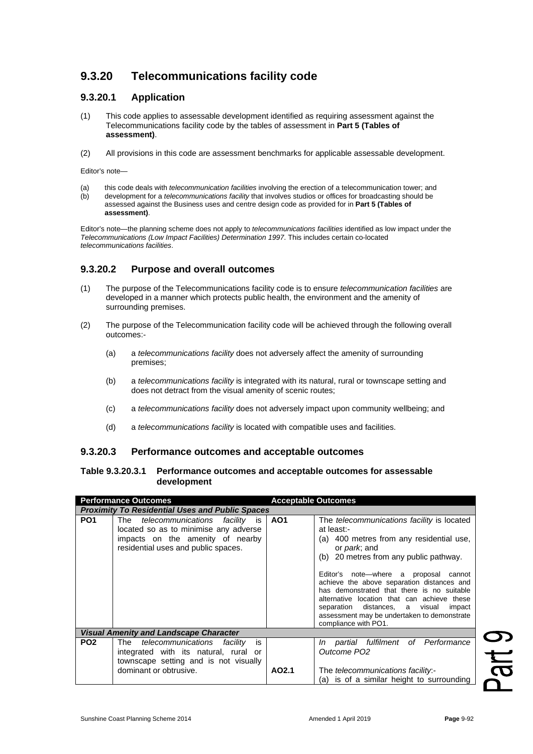# **9.3.20 Telecommunications facility code**

## **9.3.20.1 Application**

- (1) This code applies to assessable development identified as requiring assessment against the Telecommunications facility code by the tables of assessment in **Part 5 (Tables of assessment)**.
- (2) All provisions in this code are assessment benchmarks for applicable assessable development.

Editor's note—

(a) this code deals with *telecommunication facilities* involving the erection of a telecommunication tower; and<br>(b) development for a *telecommunications facility* that involves studios or offices for broadcasting should (b) development for a *telecommunications facility* that involves studios or offices for broadcasting should be assessed against the Business uses and centre design code as provided for in **Part 5 (Tables of assessment)**.

Editor's note—the planning scheme does not apply to *telecommunications facilities* identified as low impact under the *Telecommunications (Low Impact Facilities) Determination 1997*. This includes certain co-located *telecommunications facilities*.

## **9.3.20.2 Purpose and overall outcomes**

- (1) The purpose of the Telecommunications facility code is to ensure *telecommunication facilities* are developed in a manner which protects public health, the environment and the amenity of surrounding premises.
- (2) The purpose of the Telecommunication facility code will be achieved through the following overall outcomes:-
	- (a) a *telecommunications facility* does not adversely affect the amenity of surrounding premises;
	- (b) a *telecommunications facility* is integrated with its natural, rural or townscape setting and does not detract from the visual amenity of scenic routes;
	- (c) a *telecommunications facility* does not adversely impact upon community wellbeing; and
	- (d) a *telecommunications facility* is located with compatible uses and facilities.

### **9.3.20.3 Performance outcomes and acceptable outcomes**

#### **Table 9.3.20.3.1 Performance outcomes and acceptable outcomes for assessable development**

| <b>Performance Outcomes</b>                            |                                                                                                                                                                     | <b>Acceptable Outcomes</b> |                                                                                                                                                                                                                                                                                                                                                                                                                                                                                     |  |
|--------------------------------------------------------|---------------------------------------------------------------------------------------------------------------------------------------------------------------------|----------------------------|-------------------------------------------------------------------------------------------------------------------------------------------------------------------------------------------------------------------------------------------------------------------------------------------------------------------------------------------------------------------------------------------------------------------------------------------------------------------------------------|--|
| <b>Proximity To Residential Uses and Public Spaces</b> |                                                                                                                                                                     |                            |                                                                                                                                                                                                                                                                                                                                                                                                                                                                                     |  |
| PO <sub>1</sub>                                        | telecommunications<br>The<br><i>facility</i> is<br>located so as to minimise any adverse<br>impacts on the amenity of nearby<br>residential uses and public spaces. | AO <sub>1</sub>            | The telecommunications facility is located<br>at least:-<br>400 metres from any residential use,<br>(a)<br>or <i>park</i> ; and<br>(b) 20 metres from any public pathway.<br>Editor's note—where a proposal<br>cannot<br>achieve the above separation distances and<br>has demonstrated that there is no suitable<br>alternative location that can achieve these<br>separation distances, a visual<br>impact<br>assessment may be undertaken to demonstrate<br>compliance with PO1. |  |
| <b>Visual Amenity and Landscape Character</b>          |                                                                                                                                                                     |                            |                                                                                                                                                                                                                                                                                                                                                                                                                                                                                     |  |
| PO <sub>2</sub>                                        | The <i>telecommunications</i><br>facility<br>is<br>integrated with its natural, rural or<br>townscape setting and is not visually<br>dominant or obtrusive.         | AO2.1                      | Performance<br>fulfilment of<br>partial<br>In<br>Outcome PO <sub>2</sub><br>The telecommunications facility.-<br>(a) is of a similar height to surrounding                                                                                                                                                                                                                                                                                                                          |  |